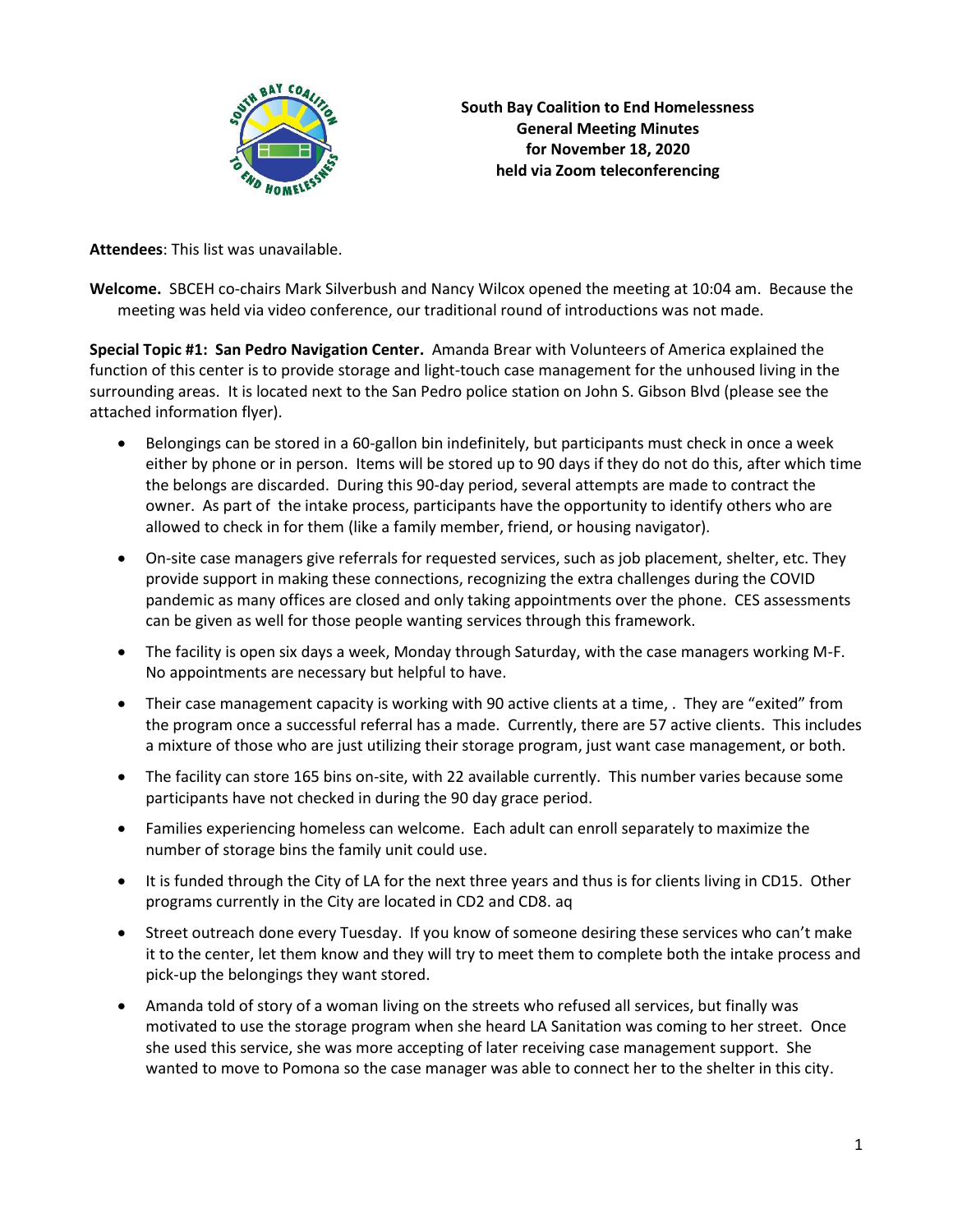

**South Bay Coalition to End Homelessness General Meeting Minutes for November 18, 2020 held via Zoom teleconferencing**

**Attendees**: This list was unavailable.

**Welcome.** SBCEH co-chairs Mark Silverbush and Nancy Wilcox opened the meeting at 10:04 am. Because the meeting was held via video conference, our traditional round of introductions was not made.

**Special Topic #1: San Pedro Navigation Center.** Amanda Brear with Volunteers of America explained the function of this center is to provide storage and light-touch case management for the unhoused living in the surrounding areas. It is located next to the San Pedro police station on John S. Gibson Blvd (please see the attached information flyer).

- Belongings can be stored in a 60-gallon bin indefinitely, but participants must check in once a week either by phone or in person. Items will be stored up to 90 days if they do not do this, after which time the belongs are discarded. During this 90-day period, several attempts are made to contract the owner. As part of the intake process, participants have the opportunity to identify others who are allowed to check in for them (like a family member, friend, or housing navigator).
- On-site case managers give referrals for requested services, such as job placement, shelter, etc. They provide support in making these connections, recognizing the extra challenges during the COVID pandemic as many offices are closed and only taking appointments over the phone. CES assessments can be given as well for those people wanting services through this framework.
- The facility is open six days a week, Monday through Saturday, with the case managers working M-F. No appointments are necessary but helpful to have.
- Their case management capacity is working with 90 active clients at a time, . They are "exited" from the program once a successful referral has a made. Currently, there are 57 active clients. This includes a mixture of those who are just utilizing their storage program, just want case management, or both.
- The facility can store 165 bins on-site, with 22 available currently. This number varies because some participants have not checked in during the 90 day grace period.
- Families experiencing homeless can welcome. Each adult can enroll separately to maximize the number of storage bins the family unit could use.
- It is funded through the City of LA for the next three years and thus is for clients living in CD15. Other programs currently in the City are located in CD2 and CD8. aq
- Street outreach done every Tuesday. If you know of someone desiring these services who can't make it to the center, let them know and they will try to meet them to complete both the intake process and pick-up the belongings they want stored.
- Amanda told of story of a woman living on the streets who refused all services, but finally was motivated to use the storage program when she heard LA Sanitation was coming to her street. Once she used this service, she was more accepting of later receiving case management support. She wanted to move to Pomona so the case manager was able to connect her to the shelter in this city.